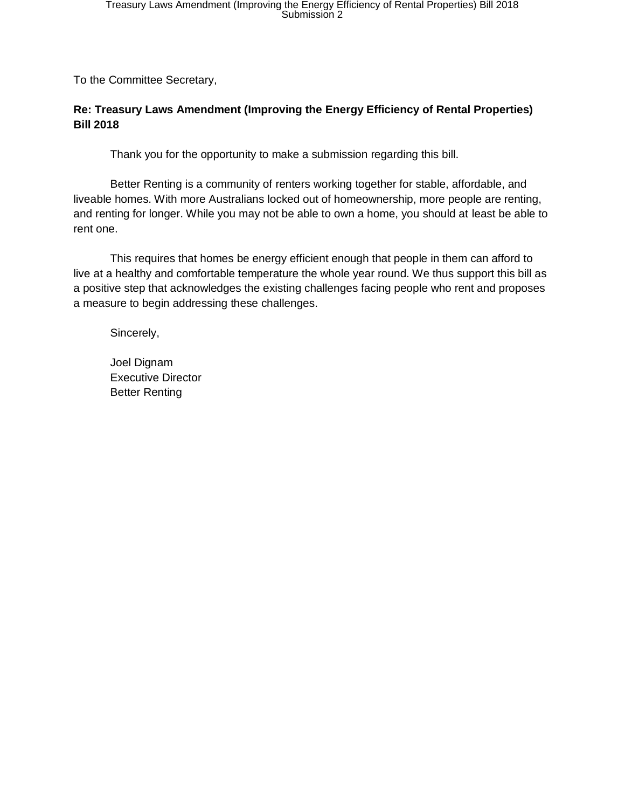To the Committee Secretary,

#### **Re: Treasury Laws Amendment (Improving the Energy Efficiency of Rental Properties) Bill 2018**

Thank you for the opportunity to make a submission regarding this bill.

Better Renting is a community of renters working together for stable, affordable, and liveable homes. With more Australians locked out of homeownership, more people are renting, and renting for longer. While you may not be able to own a home, you should at least be able to rent one.

This requires that homes be energy efficient enough that people in them can afford to live at a healthy and comfortable temperature the whole year round. We thus support this bill as a positive step that acknowledges the existing challenges facing people who rent and proposes a measure to begin addressing these challenges.

Sincerely,

Joel Dignam Executive Director Better Renting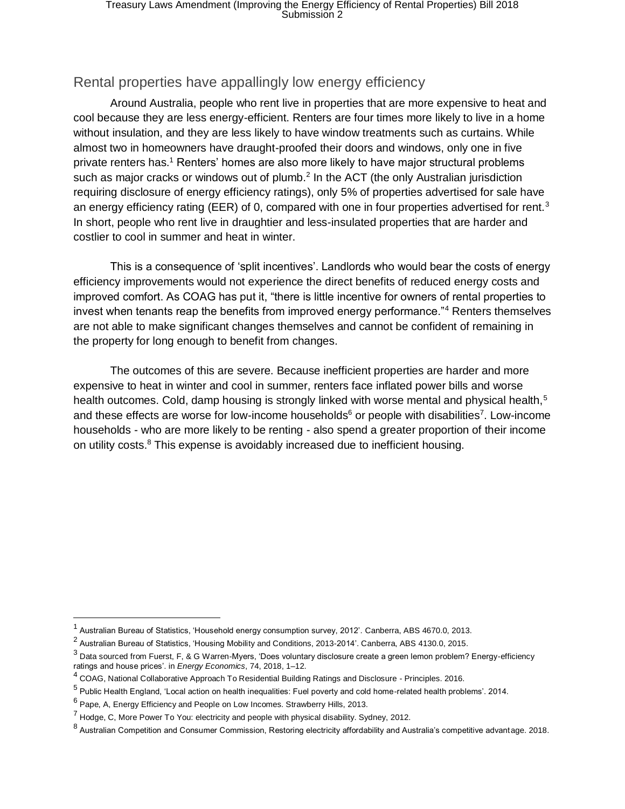# Rental properties have appallingly low energy efficiency

Around Australia, people who rent live in properties that are more expensive to heat and cool because they are less energy-efficient. Renters are four times more likely to live in a home without insulation, and they are less likely to have window treatments such as curtains. While almost two in homeowners have draught-proofed their doors and windows, only one in five private renters has.<sup>1</sup> Renters' homes are also more likely to have major structural problems such as major cracks or windows out of plumb.<sup>2</sup> In the ACT (the only Australian jurisdiction requiring disclosure of energy efficiency ratings), only 5% of properties advertised for sale have an energy efficiency rating (EER) of 0, compared with one in four properties advertised for rent.<sup>3</sup> In short, people who rent live in draughtier and less-insulated properties that are harder and costlier to cool in summer and heat in winter.

This is a consequence of 'split incentives'. Landlords who would bear the costs of energy efficiency improvements would not experience the direct benefits of reduced energy costs and improved comfort. As COAG has put it, "there is little incentive for owners of rental properties to invest when tenants reap the benefits from improved energy performance."<sup>4</sup> Renters themselves are not able to make significant changes themselves and cannot be confident of remaining in the property for long enough to benefit from changes.

The outcomes of this are severe. Because inefficient properties are harder and more expensive to heat in winter and cool in summer, renters face inflated power bills and worse health outcomes. Cold, damp housing is strongly linked with worse mental and physical health,<sup>5</sup> and these effects are worse for low-income households<sup>6</sup> or people with disabilities<sup>7</sup>. Low-income households - who are more likely to be renting - also spend a greater proportion of their income on utility costs.<sup>8</sup> This expense is avoidably increased due to inefficient housing.

 $\overline{a}$ 

 $^{\text{1}}$  Australian Bureau of Statistics, 'Household energy consumption survey, 2012'. Canberra, ABS 4670.0, 2013.

<sup>&</sup>lt;sup>2</sup> Australian Bureau of Statistics, 'Housing Mobility and Conditions, 2013-2014'. Canberra, ABS 4130.0, 2015.

<sup>&</sup>lt;sup>3</sup> Data sourced from Fuerst, F, & G Warren-Myers, 'Does voluntary disclosure create a green lemon problem? Energy-efficiency ratings and house prices'. in *Energy Economics*, 74, 2018, 1–12.

<sup>4</sup> COAG, National Collaborative Approach To Residential Building Ratings and Disclosure - Principles. 2016.

<sup>&</sup>lt;sup>5</sup> Public Health England, 'Local action on health inequalities: Fuel poverty and cold home-related health problems'. 2014.

 $^6$  Pape, A, Energy Efficiency and People on Low Incomes. Strawberry Hills, 2013.

 $<sup>7</sup>$  Hodge, C, More Power To You: electricity and people with physical disability. Sydney, 2012.</sup>

 $^8$  Australian Competition and Consumer Commission, Restoring electricity affordability and Australia's competitive advantage. 2018.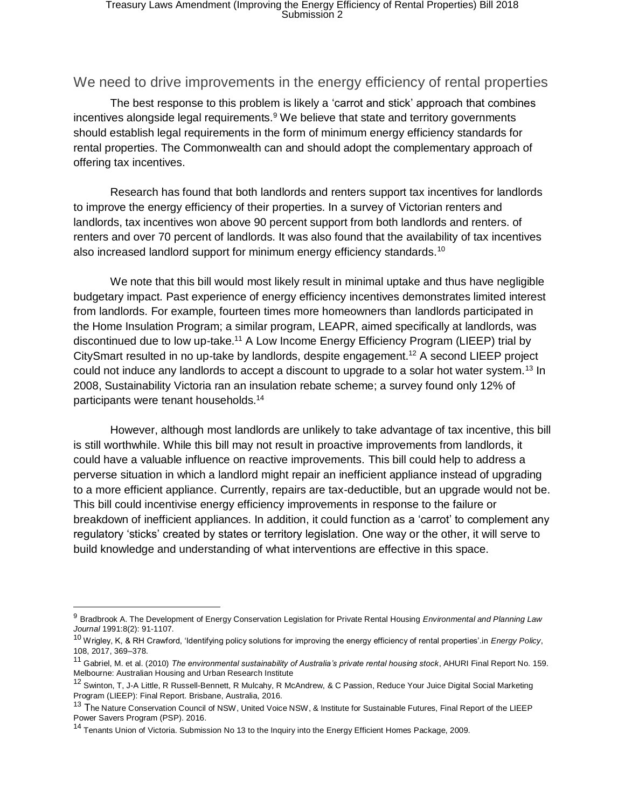#### We need to drive improvements in the energy efficiency of rental properties

The best response to this problem is likely a 'carrot and stick' approach that combines incentives alongside legal requirements.<sup>9</sup> We believe that state and territory governments should establish legal requirements in the form of minimum energy efficiency standards for rental properties. The Commonwealth can and should adopt the complementary approach of offering tax incentives.

Research has found that both landlords and renters support tax incentives for landlords to improve the energy efficiency of their properties. In a survey of Victorian renters and landlords, tax incentives won above 90 percent support from both landlords and renters. of renters and over 70 percent of landlords. It was also found that the availability of tax incentives also increased landlord support for minimum energy efficiency standards.<sup>10</sup>

We note that this bill would most likely result in minimal uptake and thus have negligible budgetary impact. Past experience of energy efficiency incentives demonstrates limited interest from landlords. For example, fourteen times more homeowners than landlords participated in the Home Insulation Program; a similar program, LEAPR, aimed specifically at landlords, was discontinued due to low up-take.<sup>11</sup> A Low Income Energy Efficiency Program (LIEEP) trial by CitySmart resulted in no up-take by landlords, despite engagement.<sup>12</sup> A second LIEEP project could not induce any landlords to accept a discount to upgrade to a solar hot water system.<sup>13</sup> In 2008, Sustainability Victoria ran an insulation rebate scheme; a survey found only 12% of participants were tenant households.<sup>14</sup>

However, although most landlords are unlikely to take advantage of tax incentive, this bill is still worthwhile. While this bill may not result in proactive improvements from landlords, it could have a valuable influence on reactive improvements. This bill could help to address a perverse situation in which a landlord might repair an inefficient appliance instead of upgrading to a more efficient appliance. Currently, repairs are tax-deductible, but an upgrade would not be. This bill could incentivise energy efficiency improvements in response to the failure or breakdown of inefficient appliances. In addition, it could function as a 'carrot' to complement any regulatory 'sticks' created by states or territory legislation. One way or the other, it will serve to build knowledge and understanding of what interventions are effective in this space.

<sup>9</sup> Bradbrook A. The Development of Energy Conservation Legislation for Private Rental Housing *Environmental and Planning Law Journal* 1991:8(2): 91-1107.

<sup>10</sup> Wrigley, K, & RH Crawford, 'Identifying policy solutions for improving the energy efficiency of rental properties'.in *Energy Policy*, 108, 2017, 369–378.

<sup>11</sup> Gabriel, M. et al. (2010) *The environmental sustainability of Australia's private rental housing stock*, AHURI Final Report No. 159. Melbourne: Australian Housing and Urban Research Institute

<sup>&</sup>lt;sup>12</sup> Swinton, T, J-A Little, R Russell-Bennett, R Mulcahy, R McAndrew, & C Passion, Reduce Your Juice Digital Social Marketing Program (LIEEP): Final Report. Brisbane, Australia, 2016.

<sup>&</sup>lt;sup>13</sup> The Nature Conservation Council of NSW, United Voice NSW, & Institute for Sustainable Futures, Final Report of the LIEEP Power Savers Program (PSP). 2016.

<sup>&</sup>lt;sup>14</sup> Tenants Union of Victoria. Submission No 13 to the Inquiry into the Energy Efficient Homes Package, 2009.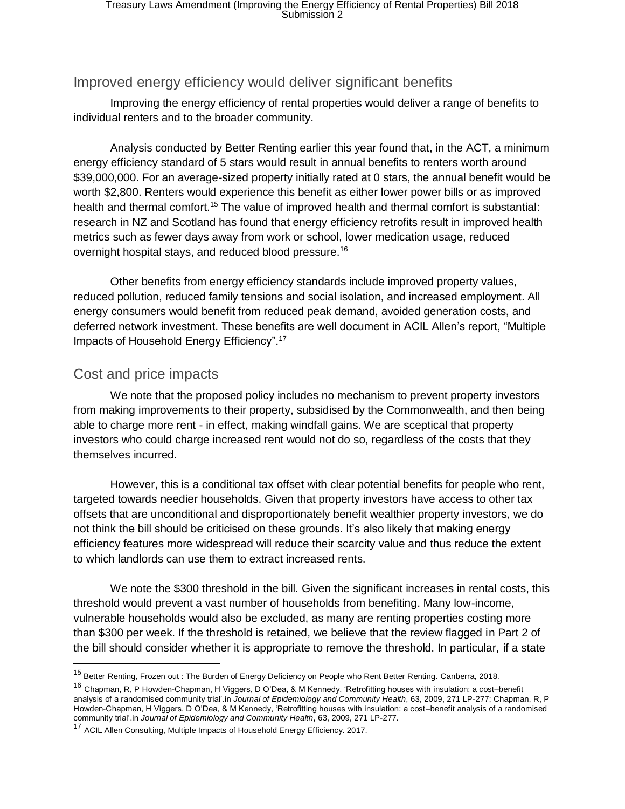# Improved energy efficiency would deliver significant benefits

Improving the energy efficiency of rental properties would deliver a range of benefits to individual renters and to the broader community.

Analysis conducted by Better Renting earlier this year found that, in the ACT, a minimum energy efficiency standard of 5 stars would result in annual benefits to renters worth around \$39,000,000. For an average-sized property initially rated at 0 stars, the annual benefit would be worth \$2,800. Renters would experience this benefit as either lower power bills or as improved health and thermal comfort.<sup>15</sup> The value of improved health and thermal comfort is substantial: research in NZ and Scotland has found that energy efficiency retrofits result in improved health metrics such as fewer days away from work or school, lower medication usage, reduced overnight hospital stays, and reduced blood pressure.<sup>16</sup>

Other benefits from energy efficiency standards include improved property values, reduced pollution, reduced family tensions and social isolation, and increased employment. All energy consumers would benefit from reduced peak demand, avoided generation costs, and deferred network investment. These benefits are well document in ACIL Allen's report, "Multiple Impacts of Household Energy Efficiency".<sup>17</sup>

## Cost and price impacts

We note that the proposed policy includes no mechanism to prevent property investors from making improvements to their property, subsidised by the Commonwealth, and then being able to charge more rent - in effect, making windfall gains. We are sceptical that property investors who could charge increased rent would not do so, regardless of the costs that they themselves incurred.

However, this is a conditional tax offset with clear potential benefits for people who rent, targeted towards needier households. Given that property investors have access to other tax offsets that are unconditional and disproportionately benefit wealthier property investors, we do not think the bill should be criticised on these grounds. It's also likely that making energy efficiency features more widespread will reduce their scarcity value and thus reduce the extent to which landlords can use them to extract increased rents.

We note the \$300 threshold in the bill. Given the significant increases in rental costs, this threshold would prevent a vast number of households from benefiting. Many low-income, vulnerable households would also be excluded, as many are renting properties costing more than \$300 per week. If the threshold is retained, we believe that the review flagged in Part 2 of the bill should consider whether it is appropriate to remove the threshold. In particular, if a state

<sup>&</sup>lt;sup>15</sup> Better Renting, Frozen out : The Burden of Energy Deficiency on People who Rent Better Renting. Canberra, 2018.

<sup>16</sup> Chapman, R, P Howden-Chapman, H Viggers, D O'Dea, & M Kennedy, 'Retrofitting houses with insulation: a cost–benefit analysis of a randomised community trial'.in *Journal of Epidemiology and Community Health*, 63, 2009, 271 LP-277; Chapman, R, P Howden-Chapman, H Viggers, D O'Dea, & M Kennedy, 'Retrofitting houses with insulation: a cost–benefit analysis of a randomised community trial'.in *Journal of Epidemiology and Community Health*, 63, 2009, 271 LP-277.

<sup>&</sup>lt;sup>17</sup> ACIL Allen Consulting, Multiple Impacts of Household Energy Efficiency. 2017.